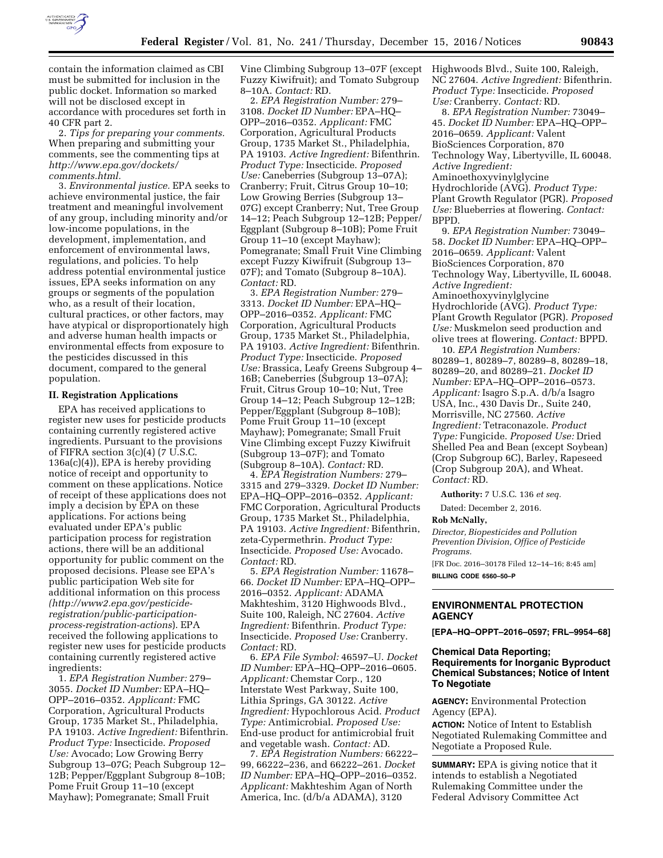

contain the information claimed as CBI must be submitted for inclusion in the public docket. Information so marked will not be disclosed except in accordance with procedures set forth in 40 CFR part 2.

2. *Tips for preparing your comments.*  When preparing and submitting your comments, see the commenting tips at *[http://www.epa.gov/dockets/](http://www.epa.gov/dockets/comments.html)  [comments.html.](http://www.epa.gov/dockets/comments.html)* 

3. *Environmental justice.* EPA seeks to achieve environmental justice, the fair treatment and meaningful involvement of any group, including minority and/or low-income populations, in the development, implementation, and enforcement of environmental laws, regulations, and policies. To help address potential environmental justice issues, EPA seeks information on any groups or segments of the population who, as a result of their location, cultural practices, or other factors, may have atypical or disproportionately high and adverse human health impacts or environmental effects from exposure to the pesticides discussed in this document, compared to the general population.

#### **II. Registration Applications**

EPA has received applications to register new uses for pesticide products containing currently registered active ingredients. Pursuant to the provisions of FIFRA section 3(c)(4) (7 U.S.C. 136a(c)(4)), EPA is hereby providing notice of receipt and opportunity to comment on these applications. Notice of receipt of these applications does not imply a decision by EPA on these applications. For actions being evaluated under EPA's public participation process for registration actions, there will be an additional opportunity for public comment on the proposed decisions. Please see EPA's public participation Web site for additional information on this process *([http://www2.epa.gov/pesticide](http://www2.epa.gov/pesticide-registration/public-participation-process-registration-actions)[registration/public-participation](http://www2.epa.gov/pesticide-registration/public-participation-process-registration-actions)[process-registration-actions](http://www2.epa.gov/pesticide-registration/public-participation-process-registration-actions)*). EPA received the following applications to register new uses for pesticide products containing currently registered active ingredients:

1. *EPA Registration Number:* 279– 3055. *Docket ID Number:* EPA–HQ– OPP–2016–0352. *Applicant:* FMC Corporation, Agricultural Products Group, 1735 Market St., Philadelphia, PA 19103. *Active Ingredient:* Bifenthrin. *Product Type:* Insecticide. *Proposed Use:* Avocado; Low Growing Berry Subgroup 13–07G; Peach Subgroup 12– 12B; Pepper/Eggplant Subgroup 8–10B; Pome Fruit Group 11–10 (except Mayhaw); Pomegranate; Small Fruit

Vine Climbing Subgroup 13–07F (except Fuzzy Kiwifruit); and Tomato Subgroup 8–10A. *Contact:* RD.

2. *EPA Registration Number:* 279– 3108. *Docket ID Number:* EPA–HQ– OPP–2016–0352. *Applicant:* FMC Corporation, Agricultural Products Group, 1735 Market St., Philadelphia, PA 19103. *Active Ingredient:* Bifenthrin. *Product Type:* Insecticide. *Proposed Use:* Caneberries (Subgroup 13–07A); Cranberry; Fruit, Citrus Group 10–10; Low Growing Berries (Subgroup 13– 07G) except Cranberry; Nut, Tree Group 14–12; Peach Subgroup 12–12B; Pepper/ Eggplant (Subgroup 8–10B); Pome Fruit Group 11–10 (except Mayhaw); Pomegranate; Small Fruit Vine Climbing except Fuzzy Kiwifruit (Subgroup 13– 07F); and Tomato (Subgroup 8–10A). *Contact:* RD.

3. *EPA Registration Number:* 279– 3313. *Docket ID Number:* EPA–HQ– OPP–2016–0352. *Applicant:* FMC Corporation, Agricultural Products Group, 1735 Market St., Philadelphia, PA 19103. *Active Ingredient:* Bifenthrin. *Product Type:* Insecticide. *Proposed Use:* Brassica, Leafy Greens Subgroup 4– 16B; Caneberries (Subgroup 13–07A); Fruit, Citrus Group 10–10; Nut, Tree Group 14–12; Peach Subgroup 12–12B; Pepper/Eggplant (Subgroup 8–10B); Pome Fruit Group 11–10 (except Mayhaw); Pomegranate; Small Fruit Vine Climbing except Fuzzy Kiwifruit (Subgroup 13–07F); and Tomato (Subgroup 8–10A). *Contact:* RD.

4. *EPA Registration Numbers:* 279– 3315 and 279–3329. *Docket ID Number:*  EPA–HQ–OPP–2016–0352. *Applicant:*  FMC Corporation, Agricultural Products Group, 1735 Market St., Philadelphia, PA 19103. *Active Ingredient:* Bifenthrin, zeta-Cypermethrin. *Product Type:*  Insecticide. *Proposed Use:* Avocado. *Contact:* RD.

5. *EPA Registration Number:* 11678– 66. *Docket ID Number:* EPA–HQ–OPP– 2016–0352. *Applicant:* ADAMA Makhteshim, 3120 Highwoods Blvd., Suite 100, Raleigh, NC 27604. *Active Ingredient:* Bifenthrin. *Product Type:*  Insecticide. *Proposed Use:* Cranberry. *Contact:* RD.

6. *EPA File Symbol:* 46597–U. *Docket ID Number:* EPA–HQ–OPP–2016–0605. *Applicant:* Chemstar Corp., 120 Interstate West Parkway, Suite 100, Lithia Springs, GA 30122. *Active Ingredient:* Hypochlorous Acid. *Product Type:* Antimicrobial. *Proposed Use:*  End-use product for antimicrobial fruit and vegetable wash. *Contact:* AD.

7. *EPA Registration Numbers:* 66222– 99, 66222–236, and 66222–261. *Docket ID Number:* EPA–HQ–OPP–2016–0352. *Applicant:* Makhteshim Agan of North America, Inc. (d/b/a ADAMA), 3120

Highwoods Blvd., Suite 100, Raleigh, NC 27604. *Active Ingredient:* Bifenthrin. *Product Type:* Insecticide. *Proposed Use:* Cranberry. *Contact:* RD.

8. *EPA Registration Number:* 73049– 45. *Docket ID Number:* EPA–HQ–OPP– 2016–0659. *Applicant:* Valent BioSciences Corporation, 870 Technology Way, Libertyville, IL 60048. *Active Ingredient:*  Aminoethoxyvinylglycine Hydrochloride (AVG). *Product Type:*  Plant Growth Regulator (PGR). *Proposed Use:* Blueberries at flowering. *Contact:*  BPPD.

9. *EPA Registration Number:* 73049– 58. *Docket ID Number:* EPA–HQ–OPP– 2016–0659. *Applicant:* Valent BioSciences Corporation, 870 Technology Way, Libertyville, IL 60048. *Active Ingredient:*  Aminoethoxyvinylglycine Hydrochloride (AVG). *Product Type:*  Plant Growth Regulator (PGR). *Proposed Use:* Muskmelon seed production and olive trees at flowering. *Contact:* BPPD.

10. *EPA Registration Numbers:*  80289–1, 80289–7, 80289–8, 80289–18, 80289–20, and 80289–21. *Docket ID Number:* EPA–HQ–OPP–2016–0573. *Applicant:* Isagro S.p.A. d/b/a Isagro USA, Inc., 430 Davis Dr., Suite 240, Morrisville, NC 27560. *Active Ingredient:* Tetraconazole. *Product Type:* Fungicide. *Proposed Use:* Dried Shelled Pea and Bean (except Soybean) (Crop Subgroup 6C), Barley, Rapeseed (Crop Subgroup 20A), and Wheat. *Contact:* RD.

**Authority:** 7 U.S.C. 136 *et seq.* 

Dated: December 2, 2016.

#### **Rob McNally,**

*Director, Biopesticides and Pollution Prevention Division, Office of Pesticide Programs.*  [FR Doc. 2016–30178 Filed 12–14–16; 8:45 am] **BILLING CODE 6560–50–P** 

## **ENVIRONMENTAL PROTECTION AGENCY**

**[EPA–HQ–OPPT–2016–0597; FRL–9954–68]** 

# **Chemical Data Reporting; Requirements for Inorganic Byproduct Chemical Substances; Notice of Intent To Negotiate**

**AGENCY:** Environmental Protection Agency (EPA).

**ACTION:** Notice of Intent to Establish Negotiated Rulemaking Committee and Negotiate a Proposed Rule.

**SUMMARY:** EPA is giving notice that it intends to establish a Negotiated Rulemaking Committee under the Federal Advisory Committee Act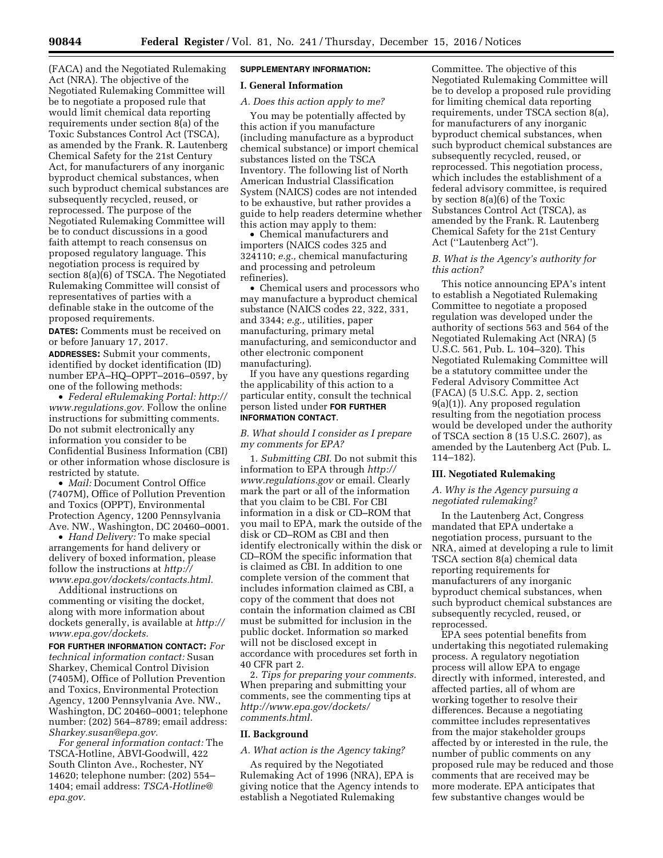(FACA) and the Negotiated Rulemaking Act (NRA). The objective of the Negotiated Rulemaking Committee will be to negotiate a proposed rule that would limit chemical data reporting requirements under section 8(a) of the Toxic Substances Control Act (TSCA), as amended by the Frank. R. Lautenberg Chemical Safety for the 21st Century Act, for manufacturers of any inorganic byproduct chemical substances, when such byproduct chemical substances are subsequently recycled, reused, or reprocessed. The purpose of the Negotiated Rulemaking Committee will be to conduct discussions in a good faith attempt to reach consensus on proposed regulatory language. This negotiation process is required by section 8(a)(6) of TSCA. The Negotiated Rulemaking Committee will consist of representatives of parties with a definable stake in the outcome of the proposed requirements.

**DATES:** Comments must be received on or before January 17, 2017.

**ADDRESSES:** Submit your comments, identified by docket identification (ID) number EPA–HQ–OPPT–2016–0597, by one of the following methods:

• *Federal eRulemaking Portal: [http://](http://www.regulations.gov)  [www.regulations.gov.](http://www.regulations.gov)* Follow the online instructions for submitting comments. Do not submit electronically any information you consider to be Confidential Business Information (CBI) or other information whose disclosure is restricted by statute.

• *Mail:* Document Control Office (7407M), Office of Pollution Prevention and Toxics (OPPT), Environmental Protection Agency, 1200 Pennsylvania Ave. NW., Washington, DC 20460–0001.

• *Hand Delivery:* To make special arrangements for hand delivery or delivery of boxed information, please follow the instructions at *[http://](http://www.epa.gov/dockets/contacts.html) [www.epa.gov/dockets/contacts.html.](http://www.epa.gov/dockets/contacts.html)* 

Additional instructions on commenting or visiting the docket, along with more information about dockets generally, is available at *[http://](http://www.epa.gov/dockets) [www.epa.gov/dockets.](http://www.epa.gov/dockets)* 

**FOR FURTHER INFORMATION CONTACT:** *For technical information contact:* Susan Sharkey, Chemical Control Division (7405M), Office of Pollution Prevention and Toxics, Environmental Protection Agency, 1200 Pennsylvania Ave. NW., Washington, DC 20460–0001; telephone number: (202) 564–8789; email address: *[Sharkey.susan@epa.gov.](mailto:Sharkey.susan@epa.gov)* 

*For general information contact:* The TSCA-Hotline, ABVI-Goodwill, 422 South Clinton Ave., Rochester, NY 14620; telephone number: (202) 554– 1404; email address: *[TSCA-Hotline@](mailto:TSCA-Hotline@epa.gov) [epa.gov.](mailto:TSCA-Hotline@epa.gov)* 

# **SUPPLEMENTARY INFORMATION:**

# **I. General Information**

# *A. Does this action apply to me?*

You may be potentially affected by this action if you manufacture (including manufacture as a byproduct chemical substance) or import chemical substances listed on the TSCA Inventory. The following list of North American Industrial Classification System (NAICS) codes are not intended to be exhaustive, but rather provides a guide to help readers determine whether this action may apply to them:

• Chemical manufacturers and importers (NAICS codes 325 and 324110; *e.g.,* chemical manufacturing and processing and petroleum refineries).

• Chemical users and processors who may manufacture a byproduct chemical substance (NAICS codes 22, 322, 331, and 3344; *e.g.,* utilities, paper manufacturing, primary metal manufacturing, and semiconductor and other electronic component manufacturing).

If you have any questions regarding the applicability of this action to a particular entity, consult the technical person listed under **FOR FURTHER INFORMATION CONTACT**.

# *B. What should I consider as I prepare my comments for EPA?*

1. *Submitting CBI.* Do not submit this information to EPA through *[http://](http://www.regulations.gov) [www.regulations.gov](http://www.regulations.gov)* or email. Clearly mark the part or all of the information that you claim to be CBI. For CBI information in a disk or CD–ROM that you mail to EPA, mark the outside of the disk or CD–ROM as CBI and then identify electronically within the disk or CD–ROM the specific information that is claimed as CBI. In addition to one complete version of the comment that includes information claimed as CBI, a copy of the comment that does not contain the information claimed as CBI must be submitted for inclusion in the public docket. Information so marked will not be disclosed except in accordance with procedures set forth in 40 CFR part 2.

2. *Tips for preparing your comments.*  When preparing and submitting your comments, see the commenting tips at *[http://www.epa.gov/dockets/](http://www.epa.gov/dockets/comments.html)  [comments.html.](http://www.epa.gov/dockets/comments.html)* 

#### **II. Background**

*A. What action is the Agency taking?* 

As required by the Negotiated Rulemaking Act of 1996 (NRA), EPA is giving notice that the Agency intends to establish a Negotiated Rulemaking

Committee. The objective of this Negotiated Rulemaking Committee will be to develop a proposed rule providing for limiting chemical data reporting requirements, under TSCA section 8(a), for manufacturers of any inorganic byproduct chemical substances, when such byproduct chemical substances are subsequently recycled, reused, or reprocessed. This negotiation process, which includes the establishment of a federal advisory committee, is required by section 8(a)(6) of the Toxic Substances Control Act (TSCA), as amended by the Frank. R. Lautenberg Chemical Safety for the 21st Century Act (''Lautenberg Act'').

#### *B. What is the Agency's authority for this action?*

This notice announcing EPA's intent to establish a Negotiated Rulemaking Committee to negotiate a proposed regulation was developed under the authority of sections 563 and 564 of the Negotiated Rulemaking Act (NRA) (5 U.S.C. 561, Pub. L. 104–320). This Negotiated Rulemaking Committee will be a statutory committee under the Federal Advisory Committee Act (FACA) (5 U.S.C. App. 2, section 9(a)(1)). Any proposed regulation resulting from the negotiation process would be developed under the authority of TSCA section 8 (15 U.S.C. 2607), as amended by the Lautenberg Act (Pub. L. 114–182).

#### **III. Negotiated Rulemaking**

# *A. Why is the Agency pursuing a negotiated rulemaking?*

In the Lautenberg Act, Congress mandated that EPA undertake a negotiation process, pursuant to the NRA, aimed at developing a rule to limit TSCA section 8(a) chemical data reporting requirements for manufacturers of any inorganic byproduct chemical substances, when such byproduct chemical substances are subsequently recycled, reused, or reprocessed.

EPA sees potential benefits from undertaking this negotiated rulemaking process. A regulatory negotiation process will allow EPA to engage directly with informed, interested, and affected parties, all of whom are working together to resolve their differences. Because a negotiating committee includes representatives from the major stakeholder groups affected by or interested in the rule, the number of public comments on any proposed rule may be reduced and those comments that are received may be more moderate. EPA anticipates that few substantive changes would be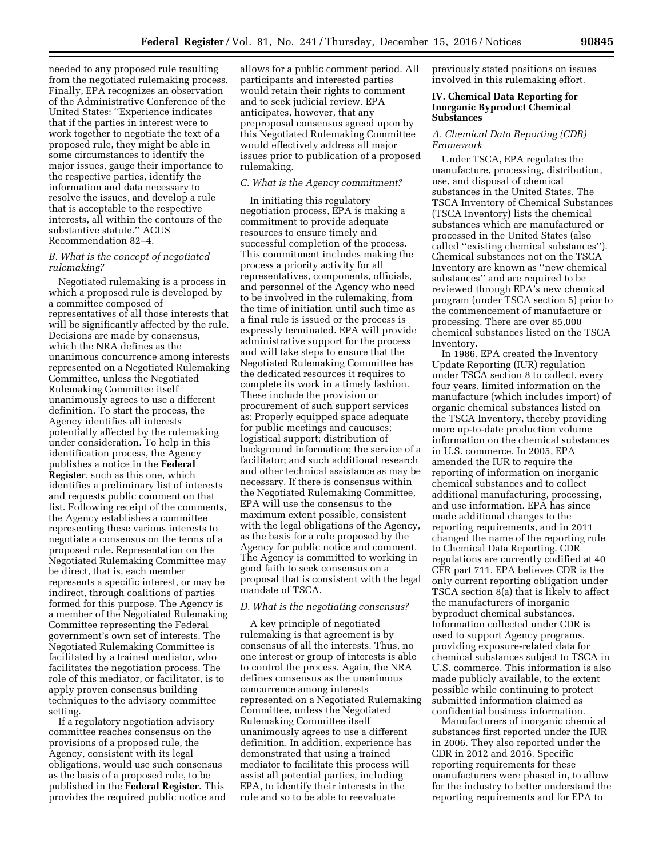needed to any proposed rule resulting from the negotiated rulemaking process. Finally, EPA recognizes an observation of the Administrative Conference of the United States: ''Experience indicates that if the parties in interest were to work together to negotiate the text of a proposed rule, they might be able in some circumstances to identify the major issues, gauge their importance to the respective parties, identify the information and data necessary to resolve the issues, and develop a rule that is acceptable to the respective interests, all within the contours of the substantive statute.'' ACUS Recommendation 82–4.

# *B. What is the concept of negotiated rulemaking?*

Negotiated rulemaking is a process in which a proposed rule is developed by a committee composed of representatives of all those interests that will be significantly affected by the rule. Decisions are made by consensus, which the NRA defines as the unanimous concurrence among interests represented on a Negotiated Rulemaking Committee, unless the Negotiated Rulemaking Committee itself unanimously agrees to use a different definition. To start the process, the Agency identifies all interests potentially affected by the rulemaking under consideration. To help in this identification process, the Agency publishes a notice in the **Federal Register**, such as this one, which identifies a preliminary list of interests and requests public comment on that list. Following receipt of the comments, the Agency establishes a committee representing these various interests to negotiate a consensus on the terms of a proposed rule. Representation on the Negotiated Rulemaking Committee may be direct, that is, each member represents a specific interest, or may be indirect, through coalitions of parties formed for this purpose. The Agency is a member of the Negotiated Rulemaking Committee representing the Federal government's own set of interests. The Negotiated Rulemaking Committee is facilitated by a trained mediator, who facilitates the negotiation process. The role of this mediator, or facilitator, is to apply proven consensus building techniques to the advisory committee setting.

If a regulatory negotiation advisory committee reaches consensus on the provisions of a proposed rule, the Agency, consistent with its legal obligations, would use such consensus as the basis of a proposed rule, to be published in the **Federal Register**. This provides the required public notice and

allows for a public comment period. All participants and interested parties would retain their rights to comment and to seek judicial review. EPA anticipates, however, that any preproposal consensus agreed upon by this Negotiated Rulemaking Committee would effectively address all major issues prior to publication of a proposed rulemaking.

## *C. What is the Agency commitment?*

In initiating this regulatory negotiation process, EPA is making a commitment to provide adequate resources to ensure timely and successful completion of the process. This commitment includes making the process a priority activity for all representatives, components, officials, and personnel of the Agency who need to be involved in the rulemaking, from the time of initiation until such time as a final rule is issued or the process is expressly terminated. EPA will provide administrative support for the process and will take steps to ensure that the Negotiated Rulemaking Committee has the dedicated resources it requires to complete its work in a timely fashion. These include the provision or procurement of such support services as: Properly equipped space adequate for public meetings and caucuses; logistical support; distribution of background information; the service of a facilitator; and such additional research and other technical assistance as may be necessary. If there is consensus within the Negotiated Rulemaking Committee, EPA will use the consensus to the maximum extent possible, consistent with the legal obligations of the Agency, as the basis for a rule proposed by the Agency for public notice and comment. The Agency is committed to working in good faith to seek consensus on a proposal that is consistent with the legal mandate of TSCA.

#### *D. What is the negotiating consensus?*

A key principle of negotiated rulemaking is that agreement is by consensus of all the interests. Thus, no one interest or group of interests is able to control the process. Again, the NRA defines consensus as the unanimous concurrence among interests represented on a Negotiated Rulemaking Committee, unless the Negotiated Rulemaking Committee itself unanimously agrees to use a different definition. In addition, experience has demonstrated that using a trained mediator to facilitate this process will assist all potential parties, including EPA, to identify their interests in the rule and so to be able to reevaluate

previously stated positions on issues involved in this rulemaking effort.

## **IV. Chemical Data Reporting for Inorganic Byproduct Chemical Substances**

# *A. Chemical Data Reporting (CDR) Framework*

Under TSCA, EPA regulates the manufacture, processing, distribution, use, and disposal of chemical substances in the United States. The TSCA Inventory of Chemical Substances (TSCA Inventory) lists the chemical substances which are manufactured or processed in the United States (also called ''existing chemical substances''). Chemical substances not on the TSCA Inventory are known as ''new chemical substances'' and are required to be reviewed through EPA's new chemical program (under TSCA section 5) prior to the commencement of manufacture or processing. There are over 85,000 chemical substances listed on the TSCA Inventory.

In 1986, EPA created the Inventory Update Reporting (IUR) regulation under TSCA section 8 to collect, every four years, limited information on the manufacture (which includes import) of organic chemical substances listed on the TSCA Inventory, thereby providing more up-to-date production volume information on the chemical substances in U.S. commerce. In 2005, EPA amended the IUR to require the reporting of information on inorganic chemical substances and to collect additional manufacturing, processing, and use information. EPA has since made additional changes to the reporting requirements, and in 2011 changed the name of the reporting rule to Chemical Data Reporting. CDR regulations are currently codified at 40 CFR part 711. EPA believes CDR is the only current reporting obligation under TSCA section 8(a) that is likely to affect the manufacturers of inorganic byproduct chemical substances. Information collected under CDR is used to support Agency programs, providing exposure-related data for chemical substances subject to TSCA in U.S. commerce. This information is also made publicly available, to the extent possible while continuing to protect submitted information claimed as confidential business information.

Manufacturers of inorganic chemical substances first reported under the IUR in 2006. They also reported under the CDR in 2012 and 2016. Specific reporting requirements for these manufacturers were phased in, to allow for the industry to better understand the reporting requirements and for EPA to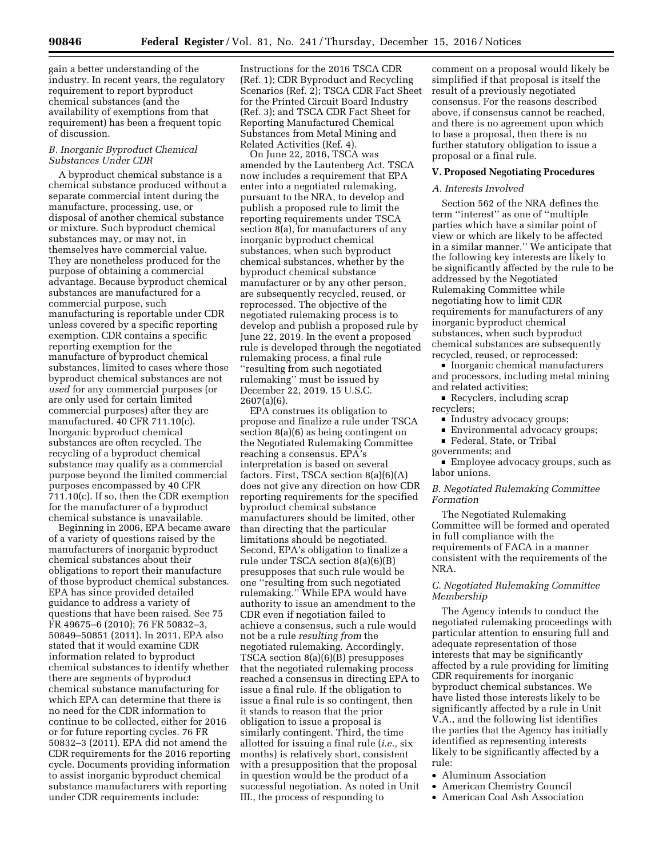gain a better understanding of the industry. In recent years, the regulatory requirement to report byproduct chemical substances (and the availability of exemptions from that requirement) has been a frequent topic of discussion.

### *B. Inorganic Byproduct Chemical Substances Under CDR*

A byproduct chemical substance is a chemical substance produced without a separate commercial intent during the manufacture, processing, use, or disposal of another chemical substance or mixture. Such byproduct chemical substances may, or may not, in themselves have commercial value. They are nonetheless produced for the purpose of obtaining a commercial advantage. Because byproduct chemical substances are manufactured for a commercial purpose, such manufacturing is reportable under CDR unless covered by a specific reporting exemption. CDR contains a specific reporting exemption for the manufacture of byproduct chemical substances, limited to cases where those byproduct chemical substances are not *used* for any commercial purposes (or are only used for certain limited commercial purposes) after they are manufactured. 40 CFR 711.10(c). Inorganic byproduct chemical substances are often recycled. The recycling of a byproduct chemical substance may qualify as a commercial purpose beyond the limited commercial purposes encompassed by 40 CFR 711.10(c). If so, then the CDR exemption for the manufacturer of a byproduct chemical substance is unavailable.

Beginning in 2006, EPA became aware of a variety of questions raised by the manufacturers of inorganic byproduct chemical substances about their obligations to report their manufacture of those byproduct chemical substances. EPA has since provided detailed guidance to address a variety of questions that have been raised. See 75 FR 49675–6 (2010); 76 FR 50832–3, 50849–50851 (2011). In 2011, EPA also stated that it would examine CDR information related to byproduct chemical substances to identify whether there are segments of byproduct chemical substance manufacturing for which EPA can determine that there is no need for the CDR information to continue to be collected, either for 2016 or for future reporting cycles. 76 FR 50832–3 (2011). EPA did not amend the CDR requirements for the 2016 reporting cycle. Documents providing information to assist inorganic byproduct chemical substance manufacturers with reporting under CDR requirements include:

Instructions for the 2016 TSCA CDR (Ref. 1); CDR Byproduct and Recycling Scenarios (Ref. 2); TSCA CDR Fact Sheet for the Printed Circuit Board Industry (Ref. 3); and TSCA CDR Fact Sheet for Reporting Manufactured Chemical Substances from Metal Mining and Related Activities (Ref. 4).

On June 22, 2016, TSCA was amended by the Lautenberg Act. TSCA now includes a requirement that EPA enter into a negotiated rulemaking, pursuant to the NRA, to develop and publish a proposed rule to limit the reporting requirements under TSCA section 8(a), for manufacturers of any inorganic byproduct chemical substances, when such byproduct chemical substances, whether by the byproduct chemical substance manufacturer or by any other person, are subsequently recycled, reused, or reprocessed. The objective of the negotiated rulemaking process is to develop and publish a proposed rule by June 22, 2019. In the event a proposed rule is developed through the negotiated rulemaking process, a final rule ''resulting from such negotiated rulemaking'' must be issued by December 22, 2019. 15 U.S.C. 2607(a)(6).

EPA construes its obligation to propose and finalize a rule under TSCA section 8(a)(6) as being contingent on the Negotiated Rulemaking Committee reaching a consensus. EPA's interpretation is based on several factors. First, TSCA section  $8(a)(6)(A)$ does not give any direction on how CDR reporting requirements for the specified byproduct chemical substance manufacturers should be limited, other than directing that the particular limitations should be negotiated. Second, EPA's obligation to finalize a rule under TSCA section 8(a)(6)(B) presupposes that such rule would be one ''resulting from such negotiated rulemaking.'' While EPA would have authority to issue an amendment to the CDR even if negotiation failed to achieve a consensus, such a rule would not be a rule *resulting from* the negotiated rulemaking. Accordingly, TSCA section 8(a)(6)(B) presupposes that the negotiated rulemaking process reached a consensus in directing EPA to issue a final rule. If the obligation to issue a final rule is so contingent, then it stands to reason that the prior obligation to issue a proposal is similarly contingent. Third, the time allotted for issuing a final rule (*i.e.,* six months) is relatively short, consistent with a presupposition that the proposal in question would be the product of a successful negotiation. As noted in Unit III., the process of responding to

comment on a proposal would likely be simplified if that proposal is itself the result of a previously negotiated consensus. For the reasons described above, if consensus cannot be reached, and there is no agreement upon which to base a proposal, then there is no further statutory obligation to issue a proposal or a final rule.

# **V. Proposed Negotiating Procedures**

### *A. Interests Involved*

Section 562 of the NRA defines the term ''interest'' as one of ''multiple parties which have a similar point of view or which are likely to be affected in a similar manner.'' We anticipate that the following key interests are likely to be significantly affected by the rule to be addressed by the Negotiated Rulemaking Committee while negotiating how to limit CDR requirements for manufacturers of any inorganic byproduct chemical substances, when such byproduct chemical substances are subsequently recycled, reused, or reprocessed:

 $\blacksquare$  Inorganic chemical manufacturers and processors, including metal mining and related activities;

 $\blacksquare$  Recyclers, including scrap recyclers;

- Industry advocacy groups;
- Environmental advocacy groups;
- **Federal, State, or Tribal**
- governments; and

■ Employee advocacy groups, such as labor unions.

*B. Negotiated Rulemaking Committee Formation* 

The Negotiated Rulemaking Committee will be formed and operated in full compliance with the requirements of FACA in a manner consistent with the requirements of the NRA.

### *C. Negotiated Rulemaking Committee Membership*

The Agency intends to conduct the negotiated rulemaking proceedings with particular attention to ensuring full and adequate representation of those interests that may be significantly affected by a rule providing for limiting CDR requirements for inorganic byproduct chemical substances. We have listed those interests likely to be significantly affected by a rule in Unit V.A., and the following list identifies the parties that the Agency has initially identified as representing interests likely to be significantly affected by a rule:

- Aluminum Association
- American Chemistry Council
- American Coal Ash Association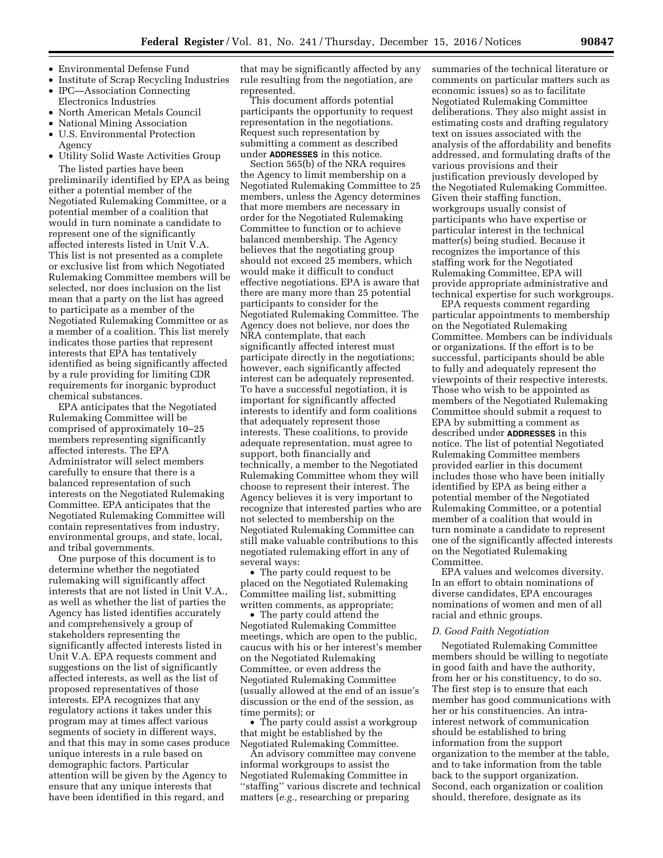- Environmental Defense Fund
- Institute of Scrap Recycling Industries
- IPC—Association Connecting Electronics Industries
- North American Metals Council
- National Mining Association
- U.S. Environmental Protection
- Agency • Utility Solid Waste Activities Group

The listed parties have been preliminarily identified by EPA as being either a potential member of the Negotiated Rulemaking Committee, or a potential member of a coalition that would in turn nominate a candidate to represent one of the significantly affected interests listed in Unit V.A. This list is not presented as a complete or exclusive list from which Negotiated Rulemaking Committee members will be selected, nor does inclusion on the list mean that a party on the list has agreed to participate as a member of the Negotiated Rulemaking Committee or as a member of a coalition. This list merely indicates those parties that represent interests that EPA has tentatively identified as being significantly affected by a rule providing for limiting CDR requirements for inorganic byproduct chemical substances.

EPA anticipates that the Negotiated Rulemaking Committee will be comprised of approximately 10–25 members representing significantly affected interests. The EPA Administrator will select members carefully to ensure that there is a balanced representation of such interests on the Negotiated Rulemaking Committee. EPA anticipates that the Negotiated Rulemaking Committee will contain representatives from industry, environmental groups, and state, local, and tribal governments.

One purpose of this document is to determine whether the negotiated rulemaking will significantly affect interests that are not listed in Unit V.A., as well as whether the list of parties the Agency has listed identifies accurately and comprehensively a group of stakeholders representing the significantly affected interests listed in Unit V.A. EPA requests comment and suggestions on the list of significantly affected interests, as well as the list of proposed representatives of those interests. EPA recognizes that any regulatory actions it takes under this program may at times affect various segments of society in different ways, and that this may in some cases produce unique interests in a rule based on demographic factors. Particular attention will be given by the Agency to ensure that any unique interests that have been identified in this regard, and

that may be significantly affected by any rule resulting from the negotiation, are represented.

This document affords potential participants the opportunity to request representation in the negotiations. Request such representation by submitting a comment as described under **ADDRESSES** in this notice.

Section 565(b) of the NRA requires the Agency to limit membership on a Negotiated Rulemaking Committee to 25 members, unless the Agency determines that more members are necessary in order for the Negotiated Rulemaking Committee to function or to achieve balanced membership. The Agency believes that the negotiating group should not exceed 25 members, which would make it difficult to conduct effective negotiations. EPA is aware that there are many more than 25 potential participants to consider for the Negotiated Rulemaking Committee. The Agency does not believe, nor does the NRA contemplate, that each significantly affected interest must participate directly in the negotiations; however, each significantly affected interest can be adequately represented. To have a successful negotiation, it is important for significantly affected interests to identify and form coalitions that adequately represent those interests. These coalitions, to provide adequate representation, must agree to support, both financially and technically, a member to the Negotiated Rulemaking Committee whom they will choose to represent their interest. The Agency believes it is very important to recognize that interested parties who are not selected to membership on the Negotiated Rulemaking Committee can still make valuable contributions to this negotiated rulemaking effort in any of several ways:

• The party could request to be placed on the Negotiated Rulemaking Committee mailing list, submitting written comments, as appropriate;

• The party could attend the Negotiated Rulemaking Committee meetings, which are open to the public, caucus with his or her interest's member on the Negotiated Rulemaking Committee, or even address the Negotiated Rulemaking Committee (usually allowed at the end of an issue's discussion or the end of the session, as time permits); or

• The party could assist a workgroup that might be established by the Negotiated Rulemaking Committee.

An advisory committee may convene informal workgroups to assist the Negotiated Rulemaking Committee in ''staffing'' various discrete and technical matters (*e.g.,* researching or preparing

summaries of the technical literature or comments on particular matters such as economic issues) so as to facilitate Negotiated Rulemaking Committee deliberations. They also might assist in estimating costs and drafting regulatory text on issues associated with the analysis of the affordability and benefits addressed, and formulating drafts of the various provisions and their justification previously developed by the Negotiated Rulemaking Committee. Given their staffing function, workgroups usually consist of participants who have expertise or particular interest in the technical matter(s) being studied. Because it recognizes the importance of this staffing work for the Negotiated Rulemaking Committee, EPA will provide appropriate administrative and technical expertise for such workgroups.

EPA requests comment regarding particular appointments to membership on the Negotiated Rulemaking Committee. Members can be individuals or organizations. If the effort is to be successful, participants should be able to fully and adequately represent the viewpoints of their respective interests. Those who wish to be appointed as members of the Negotiated Rulemaking Committee should submit a request to EPA by submitting a comment as described under **ADDRESSES** in this notice. The list of potential Negotiated Rulemaking Committee members provided earlier in this document includes those who have been initially identified by EPA as being either a potential member of the Negotiated Rulemaking Committee, or a potential member of a coalition that would in turn nominate a candidate to represent one of the significantly affected interests on the Negotiated Rulemaking Committee.

EPA values and welcomes diversity. In an effort to obtain nominations of diverse candidates, EPA encourages nominations of women and men of all racial and ethnic groups.

#### *D. Good Faith Negotiation*

Negotiated Rulemaking Committee members should be willing to negotiate in good faith and have the authority, from her or his constituency, to do so. The first step is to ensure that each member has good communications with her or his constituencies. An intrainterest network of communication should be established to bring information from the support organization to the member at the table, and to take information from the table back to the support organization. Second, each organization or coalition should, therefore, designate as its